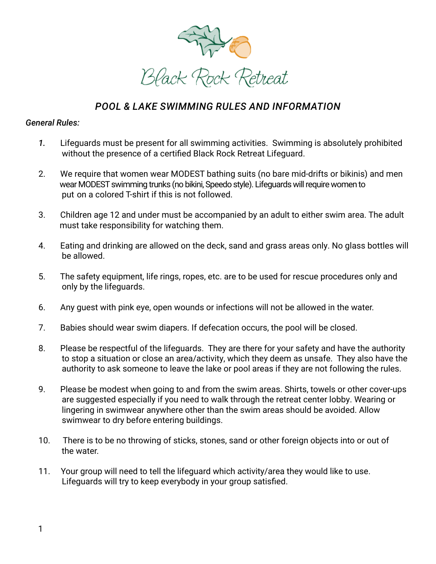

## *POOL & LAKE SWIMMING RULES AND INFORMATION*

## *General Rules:*

- *1.* Lifeguards must be present for all swimming activities. Swimming is absolutely prohibited without the presence of a certified Black Rock Retreat Lifeguard.
- 2. We require that women wear MODEST bathing suits (no bare mid-drifts or bikinis) and men wear MODEST swimming trunks (no bikini, Speedo style). Lifeguards will require women to put on a colored T-shirt if this is not followed.
- 3. Children age 12 and under must be accompanied by an adult to either swim area. The adult must take responsibility for watching them.
- 4. Eating and drinking are allowed on the deck, sand and grass areas only. No glass bottles will be allowed.
- 5. The safety equipment, life rings, ropes, etc. are to be used for rescue procedures only and only by the lifeguards.
- 6. Any guest with pink eye, open wounds or infections will not be allowed in the water.
- 7. Babies should wear swim diapers. If defecation occurs, the pool will be closed.
- 8. Please be respectful of the lifeguards. They are there for your safety and have the authority to stop a situation or close an area/activity, which they deem as unsafe. They also have the authority to ask someone to leave the lake or pool areas if they are not following the rules.
- 9. Please be modest when going to and from the swim areas. Shirts, towels or other cover-ups are suggested especially if you need to walk through the retreat center lobby. Wearing or lingering in swimwear anywhere other than the swim areas should be avoided. Allow swimwear to dry before entering buildings.
- 10. There is to be no throwing of sticks, stones, sand or other foreign objects into or out of the water.
- 11. Your group will need to tell the lifeguard which activity/area they would like to use. Lifeguards will try to keep everybody in your group satisfied.